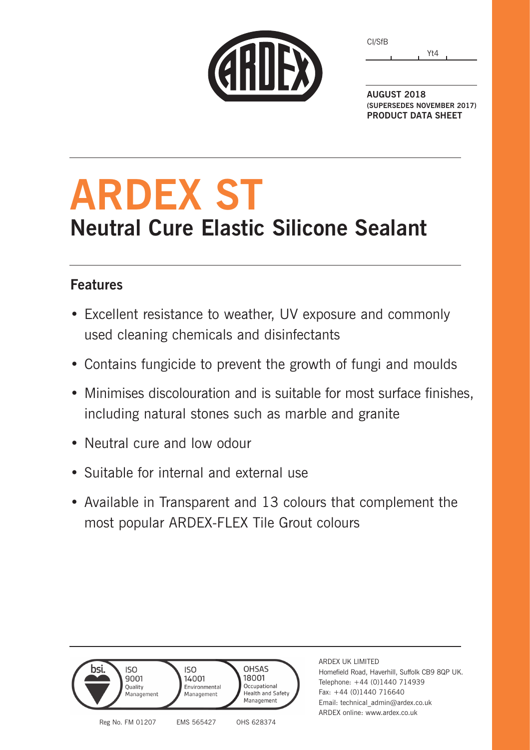|  | <b>CHILEX</b> |
|--|---------------|
|  |               |
|  |               |

Yt4 CI/SfB

**AUGUST 2018 (SUPERSEDES NOVEMBER 2017) PRODUCT DATA SHEET**

# **ARDEX ST Neutral Cure Elastic Silicone Sealant**

### **Features**

- Excellent resistance to weather, UV exposure and commonly used cleaning chemicals and disinfectants
- Contains fungicide to prevent the growth of fungi and moulds
- Minimises discolouration and is suitable for most surface finishes, including natural stones such as marble and granite
- Neutral cure and low odour
- Suitable for internal and external use
- Available in Transparent and 13 colours that complement the most popular ARDEX-FLEX Tile Grout colours